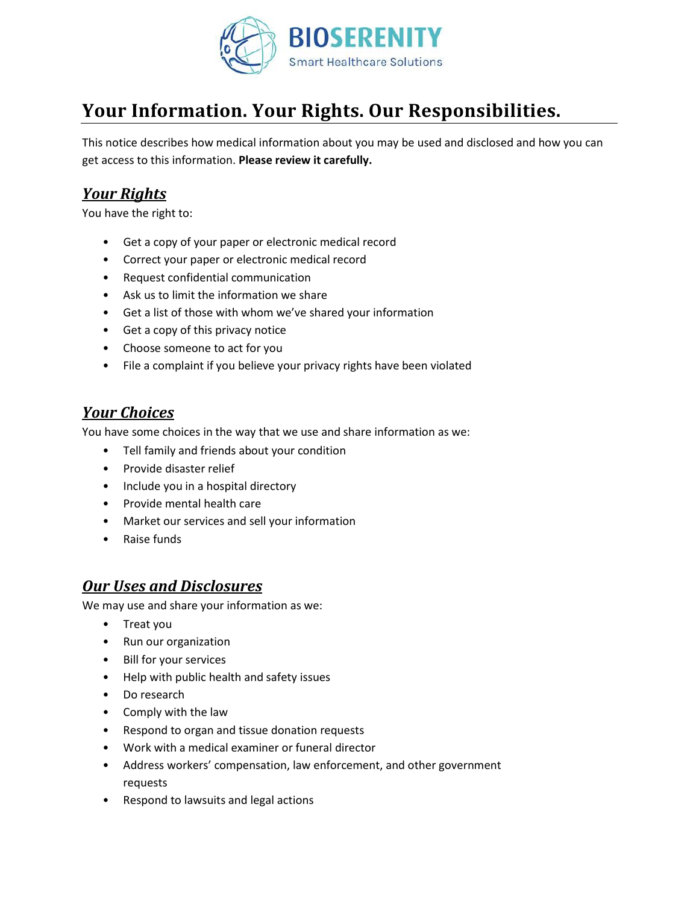

# **Your Information. Your Rights. Our Responsibilities.**

This notice describes how medical information about you may be used and disclosed and how you can get access to this information. **Please review it carefully.**

# *Your Rights*

You have the right to:

- Get a copy of your paper or electronic medical record
- Correct your paper or electronic medical record
- Request confidential communication
- Ask us to limit the information we share
- Get a list of those with whom we've shared your information
- Get a copy of this privacy notice
- Choose someone to act for you
- File a complaint if you believe your privacy rights have been violated

# *Your Choices*

You have some choices in the way that we use and share information as we:

- Tell family and friends about your condition
- Provide disaster relief
- Include you in a hospital directory
- Provide mental health care
- Market our services and sell your information
- Raise funds

### *Our Uses and Disclosures*

We may use and share your information as we:

- Treat you
- Run our organization
- Bill for your services
- Help with public health and safety issues
- Do research
- Comply with the law
- Respond to organ and tissue donation requests
- Work with a medical examiner or funeral director
- Address workers' compensation, law enforcement, and other government requests
- Respond to lawsuits and legal actions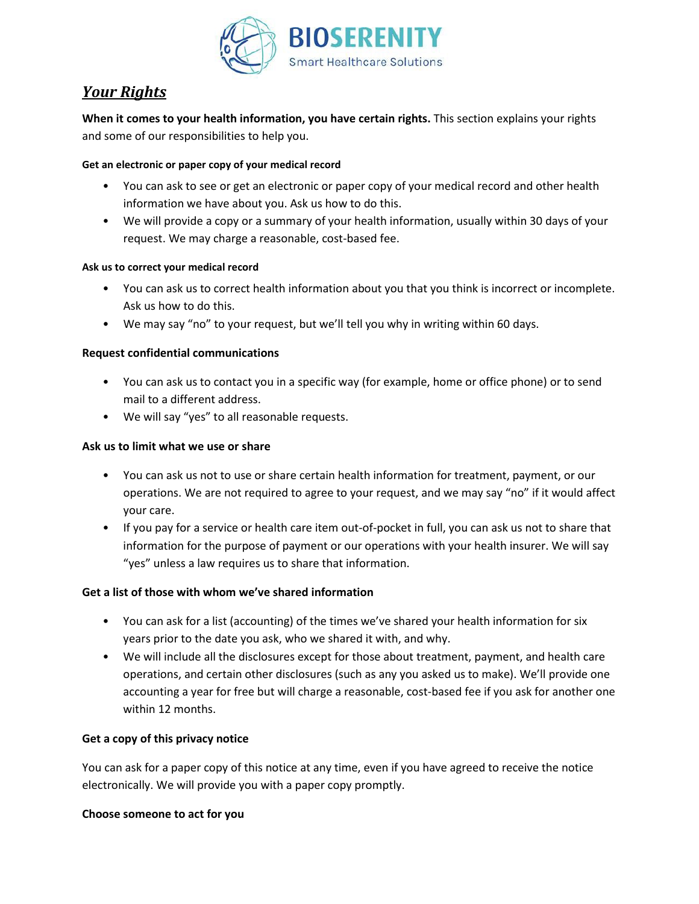

# *Your Rights*

**When it comes to your health information, you have certain rights.** This section explains your rights and some of our responsibilities to help you.

#### **Get an electronic or paper copy of your medical record**

- You can ask to see or get an electronic or paper copy of your medical record and other health information we have about you. Ask us how to do this.
- We will provide a copy or a summary of your health information, usually within 30 days of your request. We may charge a reasonable, cost-based fee.

#### **Ask us to correct your medical record**

- You can ask us to correct health information about you that you think is incorrect or incomplete. Ask us how to do this.
- We may say "no" to your request, but we'll tell you why in writing within 60 days.

#### **Request confidential communications**

- You can ask us to contact you in a specific way (for example, home or office phone) or to send mail to a different address.
- We will say "yes" to all reasonable requests.

#### **Ask us to limit what we use or share**

- You can ask us not to use or share certain health information for treatment, payment, or our operations. We are not required to agree to your request, and we may say "no" if it would affect your care.
- If you pay for a service or health care item out-of-pocket in full, you can ask us not to share that information for the purpose of payment or our operations with your health insurer. We will say "yes" unless a law requires us to share that information.

#### **Get a list of those with whom we've shared information**

- You can ask for a list (accounting) of the times we've shared your health information for six years prior to the date you ask, who we shared it with, and why.
- We will include all the disclosures except for those about treatment, payment, and health care operations, and certain other disclosures (such as any you asked us to make). We'll provide one accounting a year for free but will charge a reasonable, cost-based fee if you ask for another one within 12 months.

#### **Get a copy of this privacy notice**

You can ask for a paper copy of this notice at any time, even if you have agreed to receive the notice electronically. We will provide you with a paper copy promptly.

#### **Choose someone to act for you**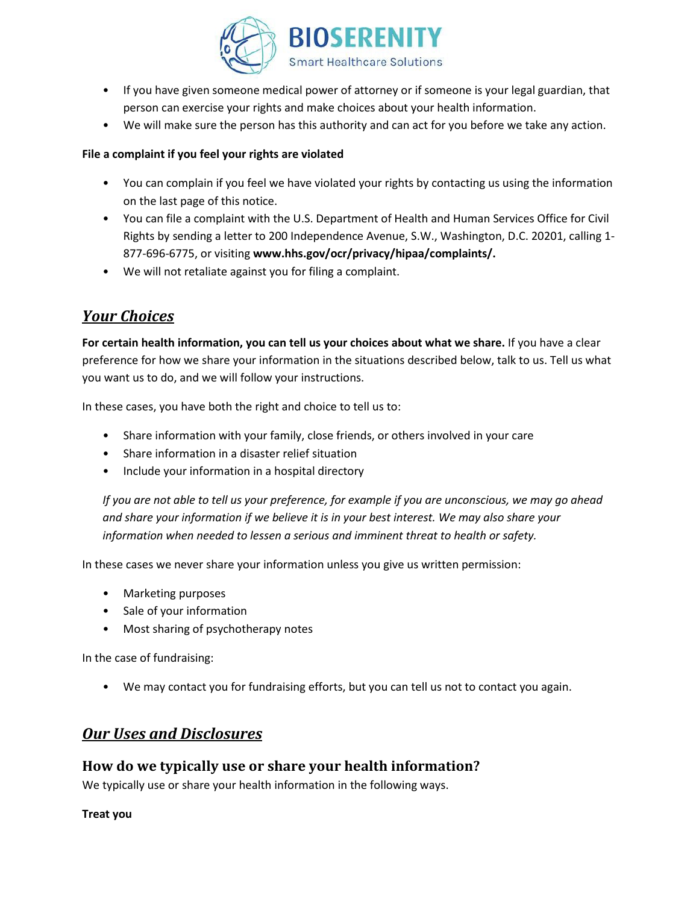

- If you have given someone medical power of attorney or if someone is your legal guardian, that person can exercise your rights and make choices about your health information.
- We will make sure the person has this authority and can act for you before we take any action.

#### **File a complaint if you feel your rights are violated**

- You can complain if you feel we have violated your rights by contacting us using the information on the last page of this notice.
- You can file a complaint with the U.S. Department of Health and Human Services Office for Civil Rights by sending a letter to 200 Independence Avenue, S.W., Washington, D.C. 20201, calling 1- 877-696-6775, or visiting **www.hhs.gov/ocr/privacy/hipaa/complaints/.**
- We will not retaliate against you for filing a complaint.

# *Your Choices*

**For certain health information, you can tell us your choices about what we share.** If you have a clear preference for how we share your information in the situations described below, talk to us. Tell us what you want us to do, and we will follow your instructions.

In these cases, you have both the right and choice to tell us to:

- Share information with your family, close friends, or others involved in your care
- Share information in a disaster relief situation
- Include your information in a hospital directory

*If you are not able to tell us your preference, for example if you are unconscious, we may go ahead and share your information if we believe it is in your best interest. We may also share your information when needed to lessen a serious and imminent threat to health or safety.*

In these cases we never share your information unless you give us written permission:

- Marketing purposes
- Sale of your information
- Most sharing of psychotherapy notes

In the case of fundraising:

• We may contact you for fundraising efforts, but you can tell us not to contact you again.

## *Our Uses and Disclosures*

#### **How do we typically use or share your health information?**

We typically use or share your health information in the following ways.

#### **Treat you**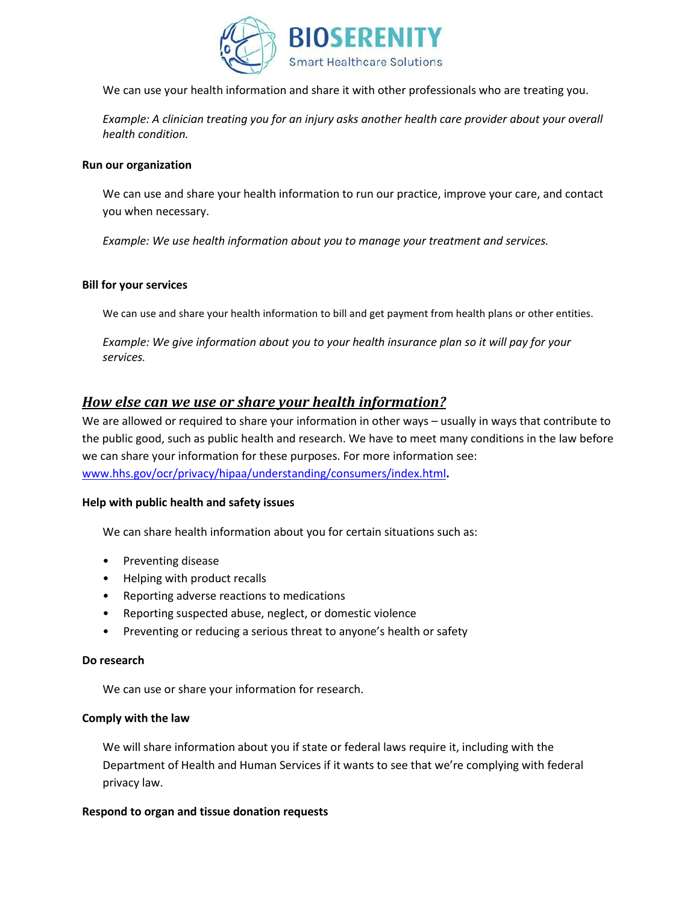

We can use your health information and share it with other professionals who are treating you.

*Example: A clinician treating you for an injury asks another health care provider about your overall health condition.*

#### **Run our organization**

We can use and share your health information to run our practice, improve your care, and contact you when necessary.

*Example: We use health information about you to manage your treatment and services.* 

#### **Bill for your services**

We can use and share your health information to bill and get payment from health plans or other entities.

*Example: We give information about you to your health insurance plan so it will pay for your services.* 

#### *How else can we use or share your health information?*

We are allowed or required to share your information in other ways – usually in ways that contribute to the public good, such as public health and research. We have to meet many conditions in the law before we can share your information for these purposes. For more information see: [www.hhs.gov/ocr/privacy/hipaa/understanding/consumers/index.html](http://www.hhs.gov/ocr/privacy/hipaa/understanding/consumers/index.html)**.** 

#### **Help with public health and safety issues**

We can share health information about you for certain situations such as:

- Preventing disease
- Helping with product recalls
- Reporting adverse reactions to medications
- Reporting suspected abuse, neglect, or domestic violence
- Preventing or reducing a serious threat to anyone's health or safety

#### **Do research**

We can use or share your information for research.

#### **Comply with the law**

We will share information about you if state or federal laws require it, including with the Department of Health and Human Services if it wants to see that we're complying with federal privacy law.

#### **Respond to organ and tissue donation requests**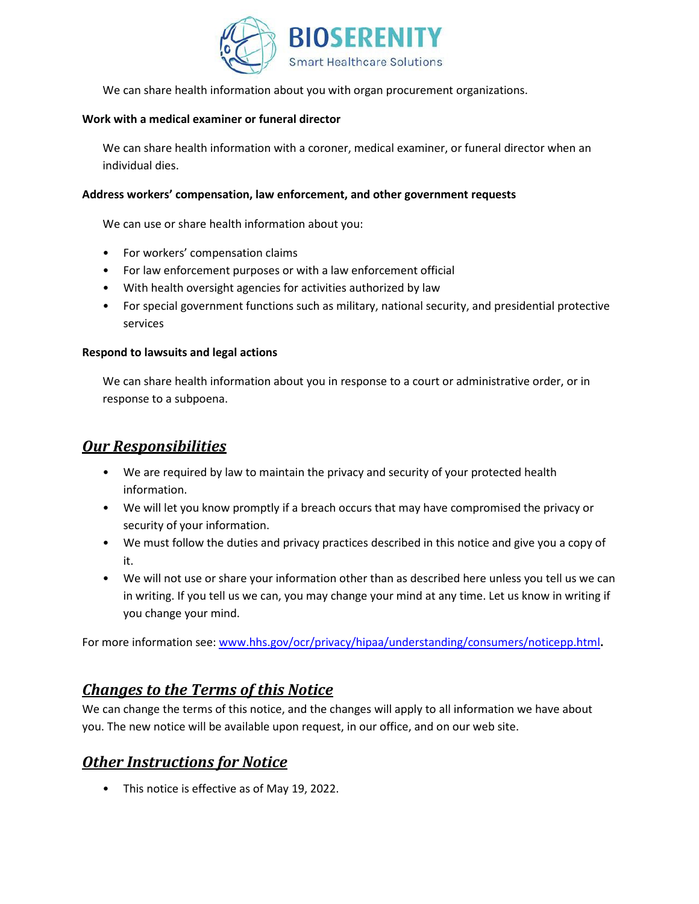

We can share health information about you with organ procurement organizations.

#### **Work with a medical examiner or funeral director**

We can share health information with a coroner, medical examiner, or funeral director when an individual dies.

#### **Address workers' compensation, law enforcement, and other government requests**

We can use or share health information about you:

- For workers' compensation claims
- For law enforcement purposes or with a law enforcement official
- With health oversight agencies for activities authorized by law
- For special government functions such as military, national security, and presidential protective services

#### **Respond to lawsuits and legal actions**

We can share health information about you in response to a court or administrative order, or in response to a subpoena.

# *Our Responsibilities*

- We are required by law to maintain the privacy and security of your protected health information.
- We will let you know promptly if a breach occurs that may have compromised the privacy or security of your information.
- We must follow the duties and privacy practices described in this notice and give you a copy of it.
- We will not use or share your information other than as described here unless you tell us we can in writing. If you tell us we can, you may change your mind at any time. Let us know in writing if you change your mind.

For more information see: [www.hhs.gov/ocr/privacy/hipaa/understanding/consumers/noticepp.html](http://www.hhs.gov/ocr/privacy/hipaa/understanding/consumers/noticepp.html)**.** 

## *Changes to the Terms of this Notice*

We can change the terms of this notice, and the changes will apply to all information we have about you. The new notice will be available upon request, in our office, and on our web site.

### *Other Instructions for Notice*

• This notice is effective as of May 19, 2022.